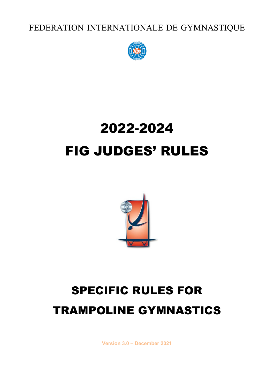FEDERATION INTERNATIONALE DE GYMNASTIQUE



# 2022-2024 FIG JUDGES' RULES



# SPECIFIC RULES FOR TRAMPOLINE GYMNASTICS

**Version 3.0 – December 2021**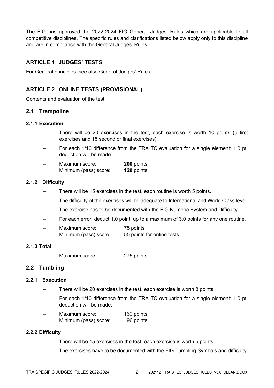The FIG has approved the 2022-2024 FIG General Judges' Rules which are applicable to all competitive disciplines. The specific rules and clarifications listed below apply only to this discipline and are in compliance with the General Judges' Rules.

# **ARTICLE 1 JUDGES' TESTS**

For General principles, see also General Judges' Rules.

# **ARTICLE 2 ONLINE TESTS (PROVISIONAL)**

Contents and evaluation of the test.

# **2.1 Trampoline**

# **2.1.1 Execution**

- There will be 20 exercises in the test, each exercise is worth 10 points (5 first exercises and 15 second or final exercises).
- For each 1/10 difference from the TRA TC evaluation for a single element: 1.0 pt. deduction will be made.
- Maximum score: **200** points Minimum (pass) score: **120** points

# **2.1.2 Difficulty**

- There will be 15 exercises in the test, each routine is worth 5 points.
- The difficulty of the exercises will be adequate to International and World Class level.
- The exercise has to be documented with the FIG Numeric System and Difficulty
- For each error, deduct 1.0 point, up to a maximum of 3.0 points for any one routine.
- Maximum score: 75 points Minimum (pass) score: 55 points for online tests

### **2.1.3 Total**

Maximum score: 275 points

# **2.2 Tumbling**

### **2.2.1 Execution**

- There will be 20 exercises in the test, each exercise is worth 8 points
- For each 1/10 difference from the TRA TC evaluation for a single element: 1.0 pt. deduction will be made.
- Maximum score: 160 points Minimum (pass) score: 96 points

### **2.2.2 Difficulty**

- There will be 15 exercises in the test, each exercise is worth 5 points
- The exercises have to be documented with the FIG Tumbling Symbols and difficulty.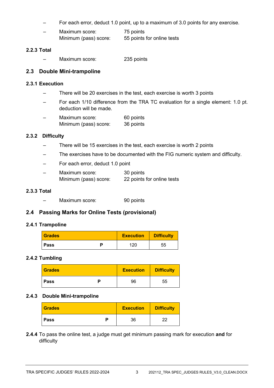- For each error, deduct 1.0 point, up to a maximum of 3.0 points for any exercise.
- Maximum score: 75 points Minimum (pass) score: 55 points for online tests

### **2.2.3 Total**

– Maximum score: 235 points

# **2.3 Double Mini-trampoline**

#### **2.3.1 Execution**

- There will be 20 exercises in the test, each exercise is worth 3 points
- For each 1/10 difference from the TRA TC evaluation for a single element: 1.0 pt. deduction will be made.
- Maximum score: 60 points<br>Minimum (pass) score: 36 points Minimum (pass) score:

### **2.3.2 Difficulty**

- There will be 15 exercises in the test, each exercise is worth 2 points
- The exercises have to be documented with the FIG numeric system and difficulty.
- For each error, deduct 1.0 point

| - | Maximum score:        | 30 points                  |
|---|-----------------------|----------------------------|
|   | Minimum (pass) score: | 22 points for online tests |

### **2.3.3 Total**

– Maximum score: 90 points

# **2.4 Passing Marks for Online Tests (provisional)**

### **2.4.1 Trampoline**

| <b>Grades</b> | <b>Execution</b> | <b>Difficulty</b> |
|---------------|------------------|-------------------|
| <b>Pass</b>   | 120              | 55                |

### **2.4.2 Tumbling**

| <b>Grades</b> | <b>Execution</b> | <b>Difficulty</b> |
|---------------|------------------|-------------------|
| <b>Pass</b>   | 96               | 55                |

### **2.4.3 Double Mini-trampoline**

| <b>Grades</b> | <b>Execution</b> | <b>Difficulty</b> |
|---------------|------------------|-------------------|
| <b>Pass</b>   | 36               | າາ                |

**2.4.4** To pass the online test, a judge must get minimum passing mark for execution **and** for difficulty